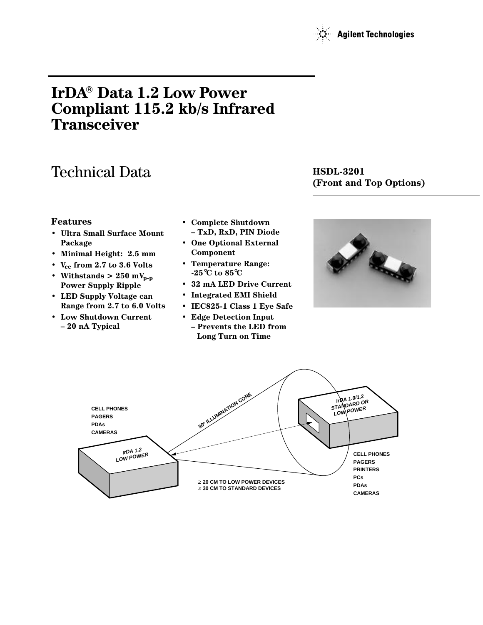

# **IrDA**® Data 1.2 Low Power **Compliant 115.2 kb/s Infrared Transceiver**

# Technical Data **HSDL-3201**

# **(Front and Top Options)**

#### **Features**

- **Ultra Small Surface Mount Package**
- **Minimal Height: 2.5 mm**
- $V_{cc}$  from 2.7 to 3.6 Volts
- Withstands  $> 250$  mV<sub>p-p</sub> **Power Supply Ripple**
- **LED Supply Voltage can Range from 2.7 to 6.0 Volts**
- **Low Shutdown Current – 20 nA Typical**
- **Complete Shutdown – TxD, RxD, PIN Diode**
- **One Optional External Component**
- **Temperature Range: -25**°**C to 85**°**C**
- **32 mA LED Drive Current**
- **Integrated EMI Shield**
- **IEC825-1 Class 1 Eye Safe**
- **Edge Detection Input – Prevents the LED from Long Turn on Time**



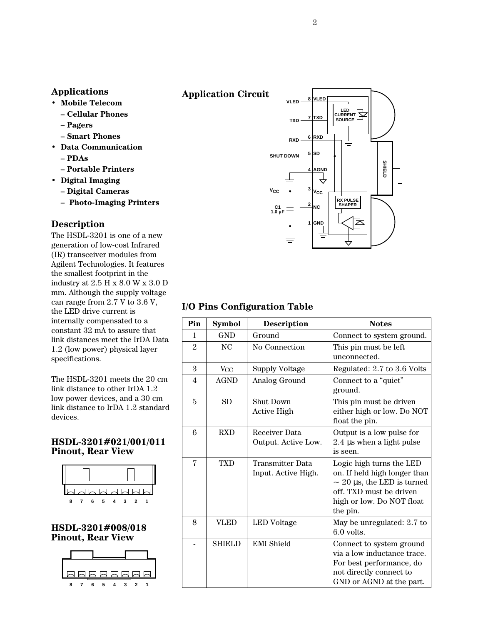#### **Applications**

- **Mobile Telecom**
	- **Cellular Phones**
	- **Pagers**
	- **Smart Phones**
- **Data Communication**
	- **PDAs**
	- **Portable Printers**
- **Digital Imaging**
	- **Digital Cameras**
	- **Photo-Imaging Printers**

#### **Description**

The HSDL-3201 is one of a new generation of low-cost Infrared (IR) transceiver modules from Agilent Technologies. It features the smallest footprint in the industry at 2.5 H x 8.0 W x 3.0 D mm. Although the supply voltage can range from 2.7 V to 3.6 V, the LED drive current is internally compensated to a constant 32 mA to assure that link distances meet the IrDA Data 1.2 (low power) physical layer specifications.

The HSDL-3201 meets the 20 cm link distance to other IrDA 1.2 low power devices, and a 30 cm link distance to IrDA 1.2 standard devices.

#### **HSDL-3201#021/001/011 Pinout, Rear View**



**HSDL-3201#008/018 Pinout, Rear View**



#### **Application Circuit**



### **I/O Pins Configuration Table**

| Pin            | <b>Symbol</b>  | <b>Description</b>                             | <b>Notes</b>                                                                                                                                                    |
|----------------|----------------|------------------------------------------------|-----------------------------------------------------------------------------------------------------------------------------------------------------------------|
| 1              | <b>GND</b>     | Ground                                         | Connect to system ground.                                                                                                                                       |
| $\mathfrak{D}$ | N <sub>C</sub> | No Connection                                  | This pin must be left<br>unconnected.                                                                                                                           |
| 3              | $V_{\rm CC}$   | <b>Supply Voltage</b>                          | Regulated: 2.7 to 3.6 Volts                                                                                                                                     |
| $\overline{4}$ | <b>AGND</b>    | Analog Ground                                  | Connect to a "quiet"<br>ground.                                                                                                                                 |
| 5              | <b>SD</b>      | <b>Shut Down</b><br><b>Active High</b>         | This pin must be driven<br>either high or low. Do NOT<br>float the pin.                                                                                         |
| 6              | <b>RXD</b>     | Receiver Data<br>Output. Active Low.           | Output is a low pulse for<br>2.4 µs when a light pulse<br>is seen.                                                                                              |
| 7              | <b>TXD</b>     | <b>Transmitter Data</b><br>Input. Active High. | Logic high turns the LED<br>on. If held high longer than<br>$\sim$ 20 µs, the LED is turned<br>off. TXD must be driven<br>high or low. Do NOT float<br>the pin. |
| 8              | VLED           | LED Voltage                                    | May be unregulated: 2.7 to<br>$6.0$ volts.                                                                                                                      |
|                | <b>SHIELD</b>  | <b>EMI</b> Shield                              | Connect to system ground<br>via a low inductance trace.<br>For best performance, do<br>not directly connect to<br>GND or AGND at the part.                      |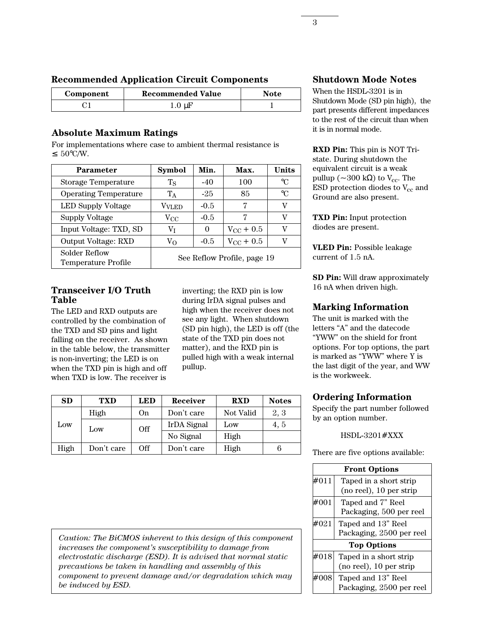| <b>Recommended Application Circuit Components</b> |  |  |
|---------------------------------------------------|--|--|
|---------------------------------------------------|--|--|

| Component | <b>Recommended Value</b> | <b>Note</b> |
|-----------|--------------------------|-------------|
|           | $1.0 \mu$ F              |             |

# **Absolute Maximum Ratings**

For implementations where case to ambient thermal resistance is ≤ 50°C/W.

| Parameter                                   | <b>Symbol</b>               | Min.     | Max.               | <b>Units</b>    |
|---------------------------------------------|-----------------------------|----------|--------------------|-----------------|
| Storage Temperature                         | $T_{\rm S}$                 | $-40$    | 100                | $\rm ^{\circ}C$ |
| <b>Operating Temperature</b>                | $T_A$                       | $-25$    | 85                 | $^{\circ}C$     |
| LED Supply Voltage                          | Vvled                       | $-0.5$   | 7                  | V               |
| <b>Supply Voltage</b>                       | $V_{\rm CC}$                | $-0.5$   | 7                  | V               |
| Input Voltage: TXD, SD                      | Vт                          | $\Omega$ | $V_{\rm CC}$ + 0.5 | V               |
| Output Voltage: RXD                         | V <sub>O</sub>              | $-0.5$   | $V_{\rm CC}$ + 0.5 | V               |
| Solder Reflow<br><b>Temperature Profile</b> | See Reflow Profile, page 19 |          |                    |                 |

#### **Transceiver I/O Truth Table**

The LED and RXD outputs are controlled by the combination of the TXD and SD pins and light falling on the receiver. As shown in the table below, the transmitter is non-inverting; the LED is on when the TXD pin is high and off when TXD is low. The receiver is

inverting; the RXD pin is low during IrDA signal pulses and high when the receiver does not see any light. When shutdown (SD pin high), the LED is off (the state of the TXD pin does not matter), and the RXD pin is pulled high with a weak internal pullup.

| <b>SD</b> | TXD        | <b>LED</b> | Receiver    | <b>RXD</b> | <b>Notes</b> |
|-----------|------------|------------|-------------|------------|--------------|
|           | High       | On.        | Don't care  | Not Valid  | 2, 3         |
| Low       | Low        | Off        | IrDA Signal | Low        | 4, 5         |
|           |            |            | No Signal   | High       |              |
| High      | Don't care | Off        | Don't care  | High       | 6            |

**Shutdown Mode Notes**

When the HSDL-3201 is in Shutdown Mode (SD pin high), the part presents different impedances to the rest of the circuit than when it is in normal mode.

**RXD Pin:** This pin is NOT Tristate. During shutdown the equivalent circuit is a weak pullup ( $\sim$ 300 kΩ) to V<sub>cc</sub>. The ESD protection diodes to  $V_{cc}$  and Ground are also present.

**TXD Pin:** Input protection diodes are present.

**VLED Pin:** Possible leakage current of 1.5 nA.

**SD Pin:** Will draw approximately 16 nA when driven high.

# **Marking Information**

The unit is marked with the letters "A" and the datecode "YWW" on the shield for front options. For top options, the part is marked as "YWW" where Y is the last digit of the year, and WW is the workweek.

# **Ordering Information**

Specify the part number followed by an option number.

#### HSDL-3201#XXX

There are five options available:

|      | <b>Front Options</b>     |
|------|--------------------------|
| #011 | Taped in a short strip   |
|      | (no reel), 10 per strip  |
| #001 | Taped and 7" Reel        |
|      | Packaging, 500 per reel  |
| #021 | Taped and 13" Reel       |
|      | Packaging, 2500 per reel |
|      | <b>Top Options</b>       |
| #018 | Taped in a short strip   |
|      | (no reel), 10 per strip  |
| #008 | Taped and 13" Reel       |
|      | Packaging, 2500 per reel |

*Caution: The BiCMOS inherent to this design of this component increases the component's susceptibility to damage from electrostatic discharge (ESD). It is advised that normal static precautions be taken in handling and assembly of this component to prevent damage and/or degradation which may be induced by ESD.*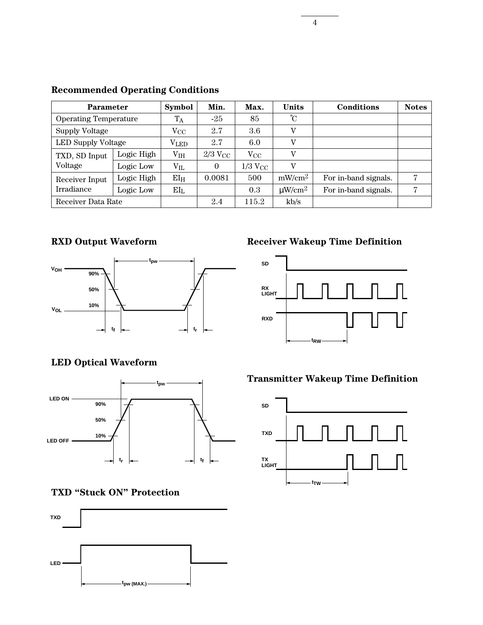| <b>Parameter</b>             | <b>Symbol</b> | Min.          | Max.                  | <b>Units</b>   | <b>Conditions</b>       | <b>Notes</b>         |   |
|------------------------------|---------------|---------------|-----------------------|----------------|-------------------------|----------------------|---|
| <b>Operating Temperature</b> |               | $T_A$         | $-25$                 | 85             | $^{\circ}C$             |                      |   |
| <b>Supply Voltage</b>        |               | $\rm V_{CC}$  | 2.7                   | 3.6            | V                       |                      |   |
| LED Supply Voltage           |               | $\rm V_{LED}$ | 2.7                   | 6.0            | $\mathbf{V}$            |                      |   |
| TXD, SD Input                | Logic High    | $\rm V_{IH}$  | $2/3$ V <sub>CC</sub> | $V_{\rm CC}$   | V                       |                      |   |
| Voltage                      | Logic Low     | $V_{IL}$      | 0                     | $1/3$ $V_{CC}$ | $\mathbf{V}$            |                      |   |
| Receiver Input               | Logic High    | $EI_{H}$      | 0.0081                | 500            | $mW/cm^2$               | For in-band signals. | 7 |
| Irradiance                   | Logic Low     | $EI_L$        |                       | 0.3            | $\mu$ W/cm <sup>2</sup> | For in-band signals. | 7 |
| Receiver Data Rate           |               |               | 2.4                   | 115.2          | kb/s                    |                      |   |

### **Recommended Operating Conditions**

# **RXD Output Waveform**



# **LED Optical Waveform**



# **TXD "Stuck ON" Protection**



# **Receiver Wakeup Time Definition**



### **Transmitter Wakeup Time Definition**

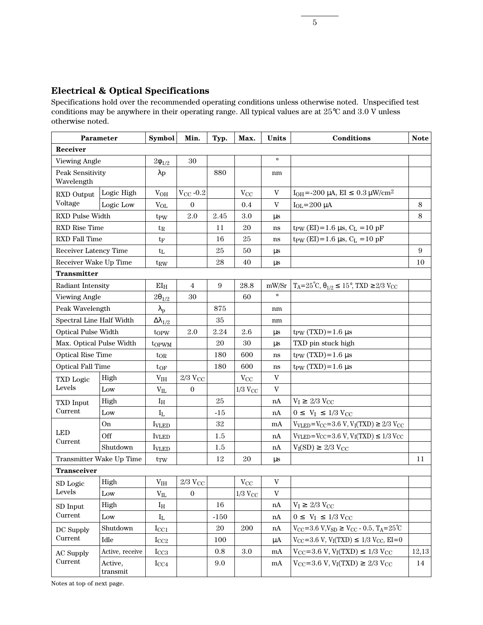## **Electrical & Optical Specifications**

Specifications hold over the recommended operating conditions unless otherwise noted. Unspecified test conditions may be anywhere in their operating range. All typical values are at 25°C and 3.0 V unless otherwise noted.

| Parameter                      |                            | <b>Symbol</b>           | Min.               | Typ.             | Max.               | Units         | Conditions                                                                    | <b>Note</b> |
|--------------------------------|----------------------------|-------------------------|--------------------|------------------|--------------------|---------------|-------------------------------------------------------------------------------|-------------|
| Receiver                       |                            |                         |                    |                  |                    |               |                                                                               |             |
| Viewing Angle                  |                            | $2\phi_{1/2}$           | 30                 |                  |                    | $\circ$       |                                                                               |             |
| Peak Sensitivity<br>Wavelength |                            | $\lambda p$             |                    | 880              |                    | nm            |                                                                               |             |
| RXD Output                     | Logic High                 | $\rm V_{OH}$            | $V_{\rm CC}$ -0.2  |                  | $V_{CC}$           | V             | $I_{OH} = -200 \mu A$ , EI $\leq 0.3 \mu W/cm^2$                              |             |
| Voltage                        | Logic Low                  | $V_{OL}$                | $\Omega$           |                  | 0.4                | V             | $I_{OL} = 200 \mu A$                                                          | 8           |
| RXD Pulse Width                |                            | t <sub>PW</sub>         | 2.0                | 2.45             | 3.0                | $\mu s$       |                                                                               | 8           |
| RXD Rise Time                  |                            | $t_{R}$                 |                    | 11               | 20                 | $\mathbf{ns}$ | $t_{PW}$ (EI)=1.6 µs, $C_L$ =10 pF                                            |             |
| RXD Fall Time                  |                            | $t_F$                   |                    | 16               | 25                 | ns            | $t_{PW}$ (EI)=1.6 µs, $C_L$ =10 pF                                            |             |
| Receiver Latency Time          |                            | $t_L$                   |                    | 25               | 50                 | $\mu s$       |                                                                               | 9           |
| Receiver Wake Up Time          |                            | $t_{RW}$                |                    | 28               | 40                 | $\mu s$       |                                                                               | 10          |
| <b>Transmitter</b>             |                            |                         |                    |                  |                    |               |                                                                               |             |
| Radiant Intensity              |                            | $EI_{H}$                | $\overline{4}$     | $\boldsymbol{9}$ | 28.8               | mW/Sr         | $T_A = 25^{\circ}C, \theta_{1/2} \le 15^{\circ}, TXD \ge 2/3$ V <sub>CC</sub> |             |
| <b>Viewing Angle</b>           |                            | $2\theta_{1/2}$         | $30\,$             |                  | 60                 | $\circ$       |                                                                               |             |
| Peak Wavelength                |                            | $\lambda_{\rm p}$       |                    | 875              |                    | nm            |                                                                               |             |
| Spectral Line Half Width       |                            | $\Delta\lambda_{1/2}$   |                    | 35               |                    | nm            |                                                                               |             |
|                                | <b>Optical Pulse Width</b> |                         | 2.0                | 2.24             | 2.6                | $\mu s$       | $t_{PW}$ (TXD)=1.6 $\mu$ s                                                    |             |
| Max. Optical Pulse Width       |                            | topwm                   |                    | 20               | 30                 | $\mu s$       | TXD pin stuck high                                                            |             |
|                                | <b>Optical Rise Time</b>   |                         |                    | 180              | 600                | ns            | t <sub>PW</sub> $(TXD) = 1.6 \text{ }\mu\text{s}$                             |             |
| <b>Optical Fall Time</b>       |                            | $t_{OF}$                |                    | 180              | 600                | ns            | $t_{PW}$ (TXD)=1.6 $\mu$ s                                                    |             |
| <b>TXD</b> Logic               | High                       | $\rm V_{IH}$            | $2/3~\rm{V_{CC}}$  |                  | $V_{CC}$           | $\rm{V}$      |                                                                               |             |
| Levels                         | Low                        | $V_{IL}$                | $\boldsymbol{0}$   |                  | $1/3$ $\rm V_{CC}$ | V             |                                                                               |             |
| <b>TXD</b> Input               | High                       | $I_{\rm H}$             |                    | 25               |                    | nA            | $V_I \geq 2/3$ $V_{CC}$                                                       |             |
| Current                        | Low                        | $\mathbf{I}_{\text{L}}$ |                    | $-15$            |                    | nA            | $0 \le V_I \le 1/3$ V <sub>CC</sub>                                           |             |
|                                | On                         | <b>I</b> VLED           |                    | 32               |                    | mA            | $V_{VLED} = V_{CC} = 3.6 V, V_{I}(TXD) \ge 2/3 V_{CC}$                        |             |
| <b>LED</b><br>Current          | Off                        | <b>IVLED</b>            |                    | 1.5              |                    | nA            | $V_{VLED} = V_{CC} = 3.6 V, V_I(TXD) \le 1/3 V_{CC}$                          |             |
|                                | Shutdown                   | <b>IVLED</b>            |                    | 1.5              |                    | nA            | $V_I(SD) \geq 2/3 V_{CC}$                                                     |             |
|                                | Transmitter Wake Up Time   | $t_{TW}$                |                    | 12               | 20                 | $\mu s$       |                                                                               | 11          |
| <b>Transceiver</b>             |                            |                         |                    |                  |                    |               |                                                                               |             |
| SD Logic                       | High                       | $\rm V_{IH}$            | $2/3$ $\rm V_{CC}$ |                  | $V_{\rm CC}$       | $\rm{V}$      |                                                                               |             |
| Levels                         | Low                        | $\rm V_{II}$            | $\boldsymbol{0}$   |                  | $1/3$ $V_{CC}$     | V             |                                                                               |             |
| SD Input                       | High                       | $I_H$                   |                    | 16               |                    | nA            | $V_I \geq 2/3$ $V_{CC}$                                                       |             |
| Current                        | Low                        | $\mathbf{I}_{\text{L}}$ |                    | $-150$           |                    | nA            | $0 \leq V_I \leq 1/3$ Vcc                                                     |             |
| DC Supply                      | Shutdown                   | $I_{\rm CC1}$           |                    | 20               | 200                | nA            | $V_{CC} = 3.6 V, V_{SD} \ge V_{CC} - 0.5, T_A = 25°C$                         |             |
| Current                        | Idle                       | $I_{CC2}$               |                    | 100              |                    | μA            | $V_{CC} = 3.6 V, V_{I}(TXD) \le 1/3 V_{CC}, EI = 0$                           |             |
| <b>AC Supply</b>               | Active, receive            | $I_{CC3}$               |                    | $0.8\,$          | $3.0\,$            | mA            | $V_{CC} = 3.6 V, V_{I}(TXD) \le 1/3 V_{CC}$                                   | 12,13       |
| Current                        | Active,<br>transmit        | $I_{CC4}$               |                    | 9.0              |                    | mA            | $V_{CC} = 3.6 V, V_{I}(TXD) \ge 2/3 V_{CC}$                                   | 14          |

Notes at top of next page.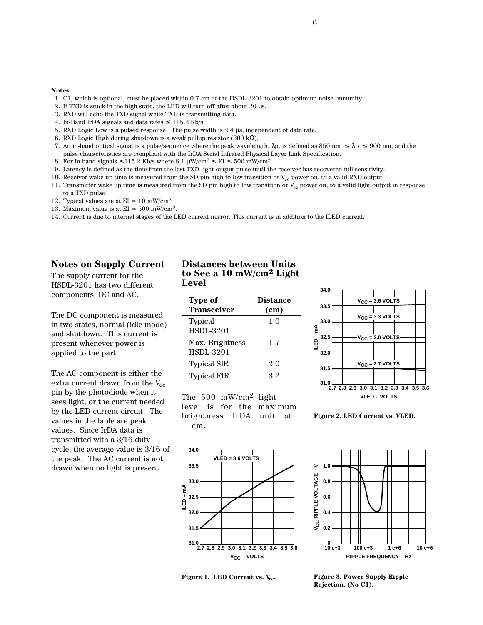6

#### **Notes:**

- 1. C1, which is optional, must be placed within 0.7 cm of the HSDL-3201 to obtain optimum noise immunity.
- 2. If TXD is stuck in the high state, the LED will turn off after about 20 µs.
- 3. RXD will echo the TXD signal while TXD is transmitting data.
- 4. In-Band IrDA signals and data rates  $\leq$  115.2 Kb/s.
- 5. RXD Logic Low is a pulsed response. The pulse width is 2.4 µs, independent of data rate.
- 6. RXD Logic High during shutdown is a weak pullup resistor (300 k $\Omega$ ).
- 7. An in-band optical signal is a pulse/sequence where the peak wavelength,  $\lambda p$ , is defined as 850 nm  $\leq \lambda p \leq 900$  nm, and the pulse characteristics are compliant with the IrDA Serial Infrared Physical Layer Link Specification.
- 8. For in band signals  $\leq 115.2$  Kb/s where 8.1  $\mu$ W/cm<sup>2</sup>  $\leq$  EI  $\leq$  500 mW/cm<sup>2</sup>.
- 9. Latency is defined as the time from the last TXD light output pulse until the receiver has recovered full sensitivity.
- 10. Receiver wake up time is measured from the SD pin high to low transition or  $V_{cc}$  power on, to a valid RXD output.
- 11. Transmitter wake up time is measured from the SD pin high to low transition or  $V_{cc}$  power on, to a valid light output in response to a TXD pulse.
- 12. Typical values are at  $EI = 10$  mW/cm<sup>2</sup>
- 13. Maximum value is at  $EI = 500$  mW/cm<sup>2</sup>.
- 14. Current is due to internal stages of the LED current mirror. This current is in addition to the ILED current.

#### **Notes on Supply Current**

The supply current for the HSDL-3201 has two different components, DC and AC.

The DC component is measured in two states, normal (idle mode) and shutdown. This current is present whenever power is applied to the part.

The AC component is either the extra current drawn from the  $V_{cc}$ pin by the photodiode when it sees light, or the current needed by the LED current circuit. The values in the table are peak values. Since IrDA data is transmitted with a 3/16 duty cycle, the average value is 3/16 of the peak. The AC current is not drawn when no light is present.

#### **Distances between Units to See a 10 mW/cm2 Light Level**

| Type of<br><b>Transceiver</b>       | <b>Distance</b><br>(cm) |
|-------------------------------------|-------------------------|
| Typical<br><b>HSDL-3201</b>         | 1.0                     |
| Max. Brightness<br><b>HSDL-3201</b> | 1.7                     |
| <b>Typical SIR</b>                  | 2.0                     |
| <b>Typical FIR</b>                  | 32                      |

The 500 mW/cm2 light level is for the maximum brightness IrDA unit at 1 cm.



**Figure 2. LED Current vs. VLED.**







**Figure 3. Power Supply Ripple Rejection. (No C1).**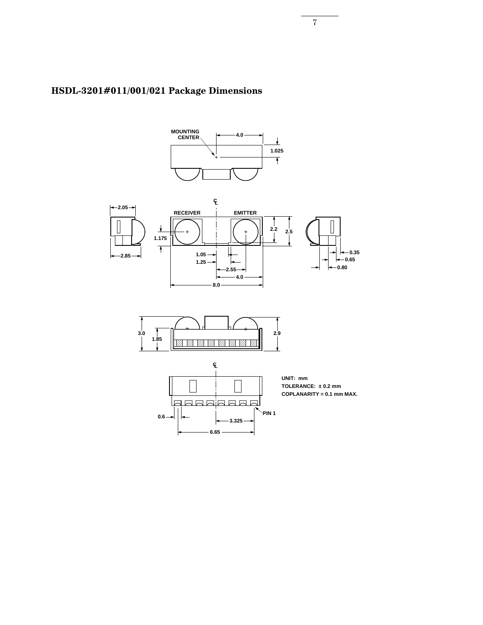

# **HSDL-3201#011/001/021 Package Dimensions**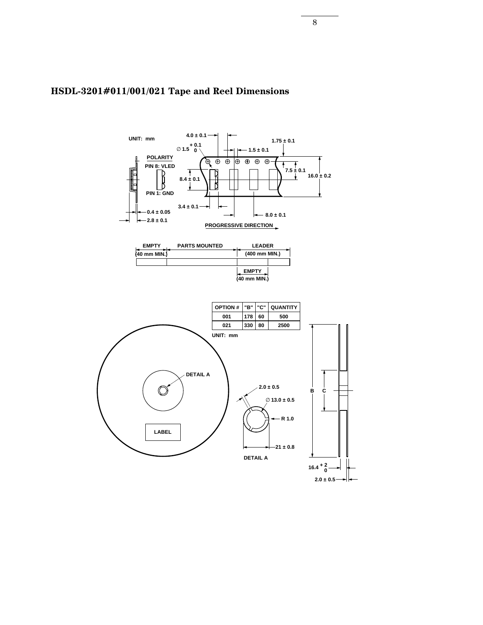

#### **HSDL-3201#011/001/021 Tape and Reel Dimensions**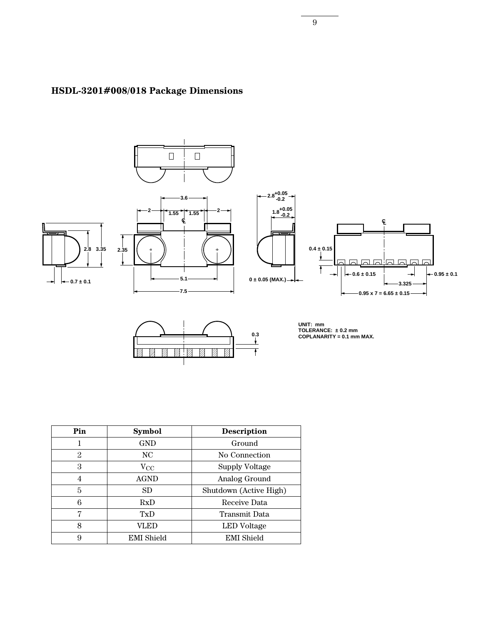

# **HSDL-3201#008/018 Package Dimensions**



**UNIT: mm TOLERANCE: ± 0.2 mm COPLANARITY = 0.1 mm MAX.**

| Pin            | <b>Symbol</b>     | <b>Description</b>     |  |  |
|----------------|-------------------|------------------------|--|--|
| 1              | <b>GND</b>        | Ground                 |  |  |
| 2              | NC.               | No Connection          |  |  |
| 3              | $\rm V_{CC}$      | <b>Supply Voltage</b>  |  |  |
| $\overline{4}$ | <b>AGND</b>       | Analog Ground          |  |  |
| 5              | SD                | Shutdown (Active High) |  |  |
| 6              | RxD               | Receive Data           |  |  |
| 7              | TxD               | Transmit Data          |  |  |
| 8              | VLED              | LED Voltage            |  |  |
| 9              | <b>EMI</b> Shield | <b>EMI</b> Shield      |  |  |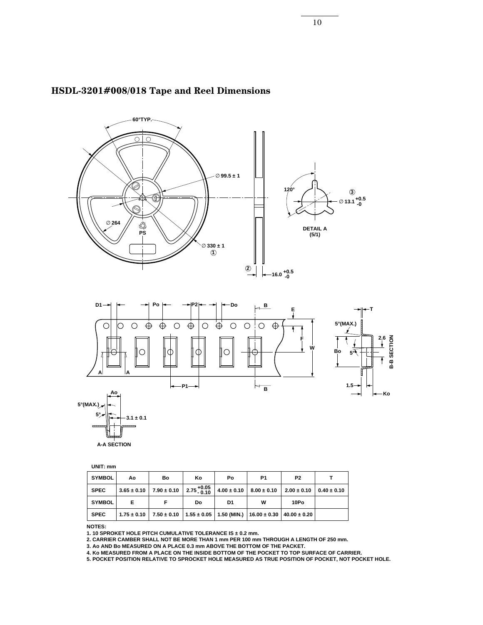

#### **HSDL-3201#008/018 Tape and Reel Dimensions**



**UNIT: mm**

| <b>SYMBOL</b> | Aο | Bo                                                                                                        | Κo | Po | P <sub>1</sub>                                  | P <sub>2</sub> |                 |
|---------------|----|-----------------------------------------------------------------------------------------------------------|----|----|-------------------------------------------------|----------------|-----------------|
| <b>SPEC</b>   |    | $3.65 \pm 0.10$ 7.90 $\pm$ 0.10 2.75 $^{+0.05}_{-0.10}$                                                   |    |    | $4.00 \pm 0.10$ $8.00 \pm 0.10$ $2.00 \pm 0.10$ |                | $0.40 \pm 0.10$ |
| <b>SYMBOL</b> | Е  |                                                                                                           | Do | D1 | w                                               | 10Po           |                 |
| <b>SPEC</b>   |    | $1.75 \pm 0.10$   $7.50 \pm 0.10$   $1.55 \pm 0.05$   $1.50$ (MIN.)   $16.00 \pm 0.30$   $40.00 \pm 0.20$ |    |    |                                                 |                |                 |

**NOTES:** 

**1. 10 SPROKET HOLE PITCH CUMULATIVE TOLERANCE IS ± 0.2 mm.** 

**2. CARRIER CAMBER SHALL NOT BE MORE THAN 1 mm PER 100 mm THROUGH A LENGTH OF 250 mm.** 

**3. Ao AND Bo MEASURED ON A PLACE 0.3 mm ABOVE THE BOTTOM OF THE PACKET.** 

**4. Ko MEASURED FROM A PLACE ON THE INSIDE BOTTOM OF THE POCKET TO TOP SURFACE OF CARRIER.** 

**5. POCKET POSITION RELATIVE TO SPROCKET HOLE MEASURED AS TRUE POSITION OF POCKET, NOT POCKET HOLE.**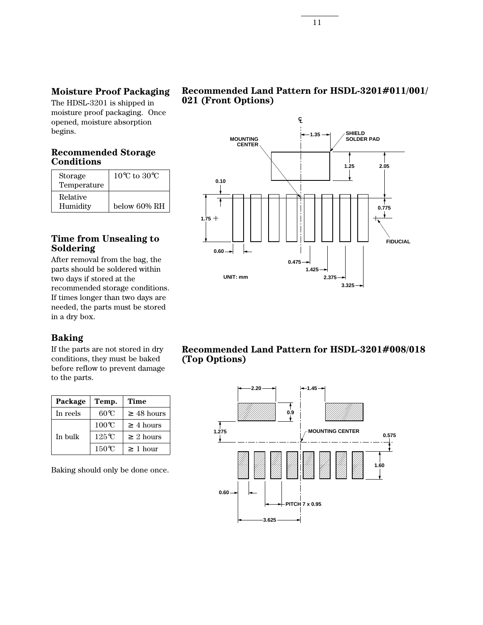#### **Moisture Proof Packaging**

The HDSL-3201 is shipped in moisture proof packaging. Once opened, moisture absorption begins.

#### **Recommended Storage Conditions**

| Storage<br>Temperature | $10^{\circ}$ C to $30^{\circ}$ C |
|------------------------|----------------------------------|
| Relative<br>Humidity   | below 60% RH                     |

#### **Time from Unsealing to Soldering**

After removal from the bag, the parts should be soldered within two days if stored at the recommended storage conditions. If times longer than two days are needed, the parts must be stored in a dry box.

#### **Baking**

If the parts are not stored in dry conditions, they must be baked before reflow to prevent damage to the parts.

| Package  | <b>Time</b><br>Temp. |                 |
|----------|----------------------|-----------------|
| In reels | 60°C                 | $\geq 48$ hours |
| In bulk  | $100^{\circ}$ C      | $\geq 4$ hours  |
|          | 125°C                | $\geq 2$ hours  |
|          | $150^{\circ}$ C      | $\geq 1$ hour   |

Baking should only be done once.

#### **Recommended Land Pattern for HSDL-3201#011/001/ 021 (Front Options)**



#### **Recommended Land Pattern for HSDL-3201#008/018 (Top Options)**

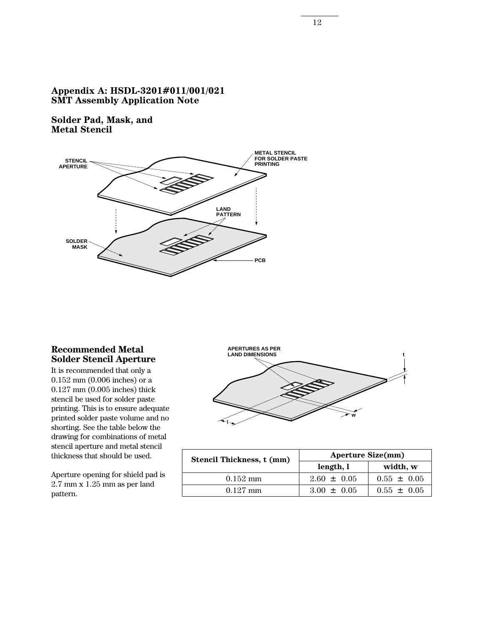#### **Appendix A: HSDL-3201#011/001/021 SMT Assembly Application Note**

**Solder Pad, Mask, and Metal Stencil**



#### **Recommended Metal Solder Stencil Aperture**

It is recommended that only a 0.152 mm (0.006 inches) or a 0.127 mm (0.005 inches) thick stencil be used for solder paste printing. This is to ensure adequate printed solder paste volume and no shorting. See the table below the drawing for combinations of metal stencil aperture and metal stencil thickness that should be used.

Aperture opening for shield pad is 2.7 mm x 1.25 mm as per land pattern.



| <b>Stencil Thickness, t (mm)</b> | <b>Aperture Size(mm)</b> |                 |  |
|----------------------------------|--------------------------|-----------------|--|
|                                  | length, l                | width, w        |  |
| $0.152 \text{ mm}$               | $2.60 \pm 0.05$          | $0.55 \pm 0.05$ |  |
| $0.127$ mm                       | $3.00 \pm 0.05$          | $0.55 \pm 0.05$ |  |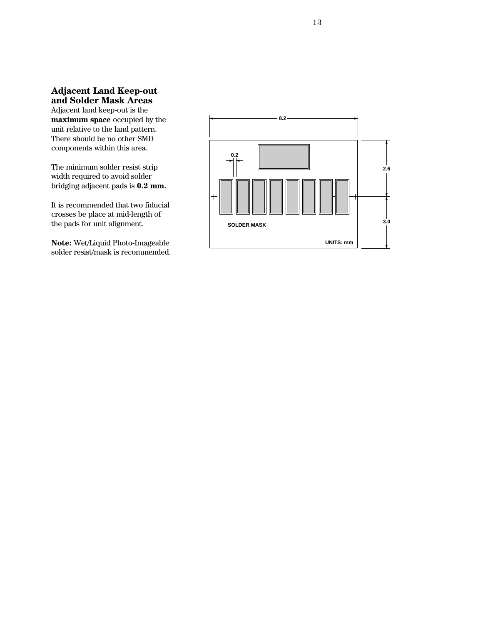#### **Adjacent Land Keep-out and Solder Mask Areas**

Adjacent land keep-out is the **maximum space** occupied by the unit relative to the land pattern. There should be no other SMD components within this area.

The minimum solder resist strip width required to avoid solder bridging adjacent pads is **0.2 mm.**

It is recommended that two fiducial crosses be place at mid-length of the pads for unit alignment.

**Note:** Wet/Liquid Photo-Imageable solder resist/mask is recommended.

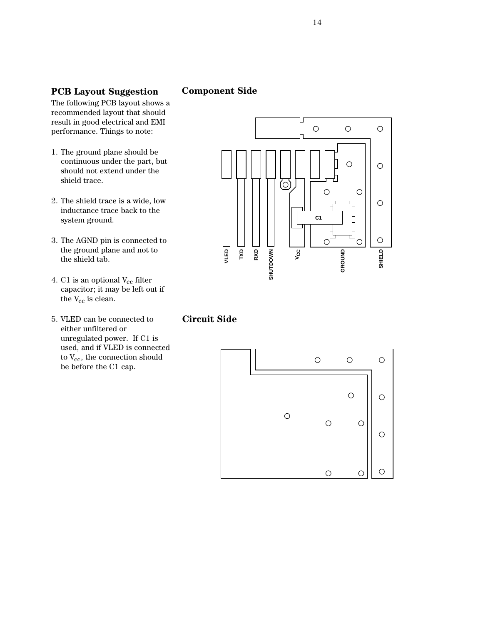#### **PCB Layout Suggestion**

#### **Component Side**

The following PCB layout shows a recommended layout that should result in good electrical and EMI performance. Things to note:

- 1. The ground plane should be continuous under the part, but should not extend under the shield trace.
- 2. The shield trace is a wide, low inductance trace back to the system ground.
- 3. The AGND pin is connected to the ground plane and not to the shield tab.
- 4. C1 is an optional  $V_{cc}$  filter capacitor; it may be left out if the  $\rm V_{cc}$  is clean.
- 5. VLED can be connected to either unfiltered or unregulated power. If C1 is used, and if VLED is connected to  $V_{cc}$ , the connection should be before the C1 cap.



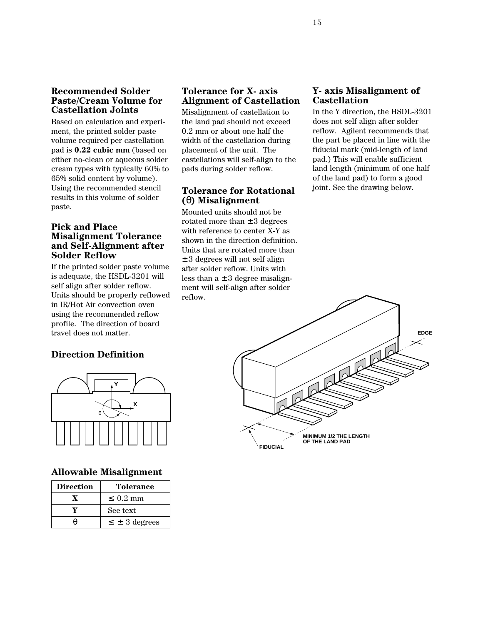#### **Recommended Solder Paste/Cream Volume for Castellation Joints**

Based on calculation and experiment, the printed solder paste volume required per castellation pad is **0.22 cubic mm** (based on either no-clean or aqueous solder cream types with typically 60% to 65% solid content by volume). Using the recommended stencil results in this volume of solder paste.

#### **Pick and Place Misalignment Tolerance and Self-Alignment after Solder Reflow**

If the printed solder paste volume is adequate, the HSDL-3201 will self align after solder reflow. Units should be properly reflowed in IR/Hot Air convection oven using the recommended reflow profile. The direction of board travel does not matter.

#### **Direction Definition**



#### **Allowable Misalignment**

| <b>Direction</b> | <b>Tolerance</b>     |
|------------------|----------------------|
|                  | $\leq 0.2$ mm        |
|                  | See text             |
|                  | $\leq \pm 3$ degrees |

#### **Tolerance for X- axis Alignment of Castellation**

Misalignment of castellation to the land pad should not exceed 0.2 mm or about one half the width of the castellation during placement of the unit. The castellations will self-align to the pads during solder reflow.

#### **Tolerance for Rotational (**θ**) Misalignment**

Mounted units should not be rotated more than  $\pm 3$  degrees with reference to center X-Y as shown in the direction definition. Units that are rotated more than ± 3 degrees will not self align after solder reflow. Units with less than  $a \pm 3$  degree misalignment will self-align after solder reflow.

#### **Y- axis Misalignment of Castellation**

In the Y direction, the HSDL-3201 does not self align after solder reflow. Agilent recommends that the part be placed in line with the fiducial mark (mid-length of land pad.) This will enable sufficient land length (minimum of one half of the land pad) to form a good joint. See the drawing below.

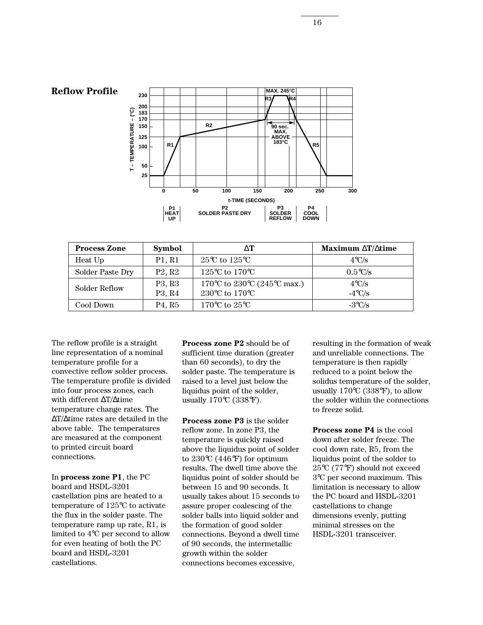

**Reflow Profile**



| <b>Process Zone</b> | <b>Symbol</b>                                                      | $\wedge$ T                                                           | Maximum $\Delta T/\Delta t$ ime   |
|---------------------|--------------------------------------------------------------------|----------------------------------------------------------------------|-----------------------------------|
| Heat Up             | P1, R1                                                             | $25^{\circ}$ C to $125^{\circ}$ C                                    | $4^{\circ}C/s$                    |
| Solder Paste Dry    | P2, R2                                                             | 125 °C to 170 °C                                                     | $0.5^{\circ}C/s$                  |
| Solder Reflow       | P <sub>3</sub> , R <sub>3</sub><br>P <sub>3</sub> , R <sub>4</sub> | 170 °C to 230 °C (245 °C max.)<br>230 $\degree$ C to 170 $\degree$ C | $4^{\circ}C/s$<br>$-4\degree$ C/s |
| Cool Down           | P <sub>4</sub> , R <sub>5</sub>                                    | $170^{\circ}\mathrm{C}$ to $25^{\circ}\mathrm{C}$ .                  | $-3^{\circ}$ C/s                  |

The reflow profile is a straight line representation of a nominal temperature profile for a convective reflow solder process. The temperature profile is divided into four process zones, each with different ∆T/∆time temperature change rates. The ∆T/∆time rates are detailed in the above table. The temperatures are measured at the component to printed circuit board connections.

In **process zone P1**, the PC board and HSDL-3201 castellation pins are heated to a temperature of 125°C to activate the flux in the solder paste. The temperature ramp up rate, R1, is limited to 4°C per second to allow for even heating of both the PC board and HSDL-3201 castellations.

**Process zone P2** should be of sufficient time duration (greater than 60 seconds), to dry the solder paste. The temperature is raised to a level just below the liquidus point of the solder, usually 170°C (338°F).

**Process zone P3** is the solder reflow zone. In zone P3, the temperature is quickly raised above the liquidus point of solder to 230°C (446°F) for optimum results. The dwell time above the liquidus point of solder should be between 15 and 90 seconds. It usually takes about 15 seconds to assure proper coalescing of the solder balls into liquid solder and the formation of good solder connections. Beyond a dwell time of 90 seconds, the intermetallic growth within the solder connections becomes excessive,

resulting in the formation of weak and unreliable connections. The temperature is then rapidly reduced to a point below the solidus temperature of the solder, usually 170°C (338°F), to allow the solder within the connections to freeze solid.

**Process zone P4** is the cool down after solder freeze. The cool down rate, R5, from the liquidus point of the solder to 25°C (77°F) should not exceed 3°C per second maximum. This limitation is necessary to allow the PC board and HSDL-3201 castellations to change dimensions evenly, putting minimal stresses on the HSDL-3201 transceiver.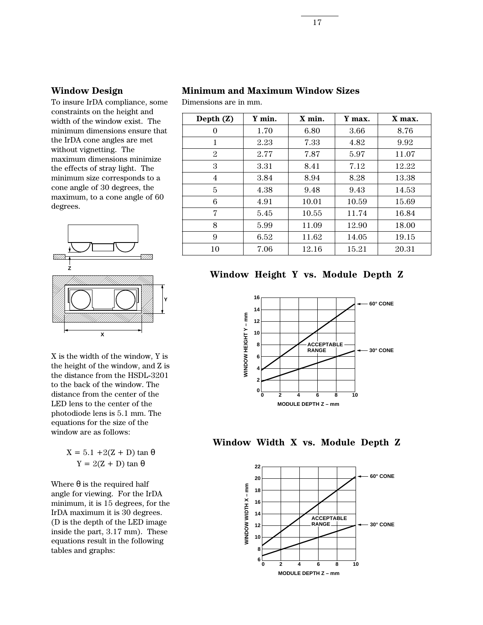#### **Window Design**

To insure IrDA compliance, some constraints on the height and width of the window exist. The minimum dimensions ensure that the IrDA cone angles are met without vignetting. The maximum dimensions minimize the effects of stray light. The minimum size corresponds to a cone angle of 30 degrees, the maximum, to a cone angle of 60 degrees.



X is the width of the window, Y is the height of the window, and Z is the distance from the HSDL-3201 to the back of the window. The distance from the center of the LED lens to the center of the photodiode lens is 5.1 mm. The equations for the size of the window are as follows:

> $X = 5.1 + 2(Z + D) \tan \theta$  $Y = 2(Z + D) \tan \theta$

Where  $\theta$  is the required half angle for viewing. For the IrDA minimum, it is 15 degrees, for the IrDA maximum it is 30 degrees. (D is the depth of the LED image inside the part, 3.17 mm). These equations result in the following tables and graphs:

#### **Minimum and Maximum Window Sizes**

Dimensions are in mm.

| Depth $(Z)$ | Y min. | $X$ min. | Y max. | X max. |
|-------------|--------|----------|--------|--------|
| 0           | 1.70   | 6.80     | 3.66   | 8.76   |
| 1           | 2.23   | 7.33     | 4.82   | 9.92   |
| 2           | 2.77   | 7.87     | 5.97   | 11.07  |
| 3           | 3.31   | 8.41     | 7.12   | 12.22  |
| 4           | 3.84   | 8.94     | 8.28   | 13.38  |
| 5           | 4.38   | 9.48     | 9.43   | 14.53  |
| 6           | 4.91   | 10.01    | 10.59  | 15.69  |
| 7           | 5.45   | 10.55    | 11.74  | 16.84  |
| 8           | 5.99   | 11.09    | 12.90  | 18.00  |
| 9           | 6.52   | 11.62    | 14.05  | 19.15  |
| 10          | 7.06   | 12.16    | 15.21  | 20.31  |

#### **Window Height Y vs. Module Depth Z**





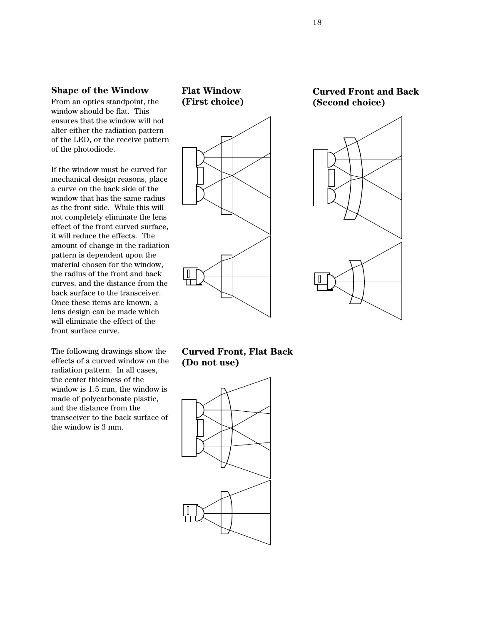#### **Shape of the Window**

From an optics standpoint, the window should be flat. This ensures that the window will not alter either the radiation pattern of the LED, or the receive pattern of the photodiode.

If the window must be curved for mechanical design reasons, place a curve on the back side of the window that has the same radius as the front side. While this will not completely eliminate the lens effect of the front curved surface, it will reduce the effects. The amount of change in the radiation pattern is dependent upon the material chosen for the window, the radius of the front and back curves, and the distance from the back surface to the transceiver. Once these items are known, a lens design can be made which will eliminate the effect of the front surface curve.

The following drawings show the effects of a curved window on the radiation pattern. In all cases, the center thickness of the window is 1.5 mm, the window is made of polycarbonate plastic, and the distance from the transceiver to the back surface of the window is 3 mm.



**Curved Front and Back (Second choice)**



#### **Curved Front, Flat Back (Do not use)**

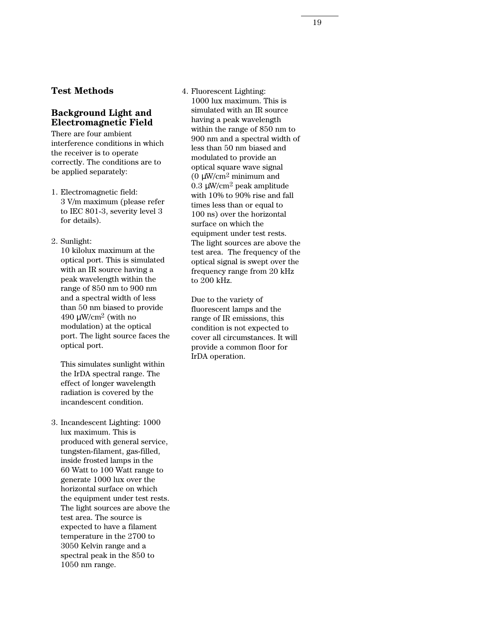#### **Test Methods**

#### **Background Light and Electromagnetic Field**

There are four ambient interference conditions in which the receiver is to operate correctly. The conditions are to be applied separately:

- 1. Electromagnetic field: 3 V/m maximum (please refer to IEC 801-3, severity level 3 for details).
- 2. Sunlight:

10 kilolux maximum at the optical port. This is simulated with an IR source having a peak wavelength within the range of 850 nm to 900 nm and a spectral width of less than 50 nm biased to provide 490  $\mu$ W/cm<sup>2</sup> (with no modulation) at the optical port. The light source faces the optical port.

This simulates sunlight within the IrDA spectral range. The effect of longer wavelength radiation is covered by the incandescent condition.

3. Incandescent Lighting: 1000 lux maximum. This is produced with general service, tungsten-filament, gas-filled, inside frosted lamps in the 60 Watt to 100 Watt range to generate 1000 lux over the horizontal surface on which the equipment under test rests. The light sources are above the test area. The source is expected to have a filament temperature in the 2700 to 3050 Kelvin range and a spectral peak in the 850 to 1050 nm range.

4. Fluorescent Lighting: 1000 lux maximum. This is simulated with an IR source having a peak wavelength within the range of 850 nm to 900 nm and a spectral width of less than 50 nm biased and modulated to provide an optical square wave signal (0  $\mu$ W/cm<sup>2</sup> minimum and 0.3  $\mu$ W/cm<sup>2</sup> peak amplitude with 10% to 90% rise and fall times less than or equal to 100 ns) over the horizontal surface on which the equipment under test rests. The light sources are above the test area. The frequency of the optical signal is swept over the frequency range from 20 kHz to 200 kHz.

Due to the variety of fluorescent lamps and the range of IR emissions, this condition is not expected to cover all circumstances. It will provide a common floor for IrDA operation.